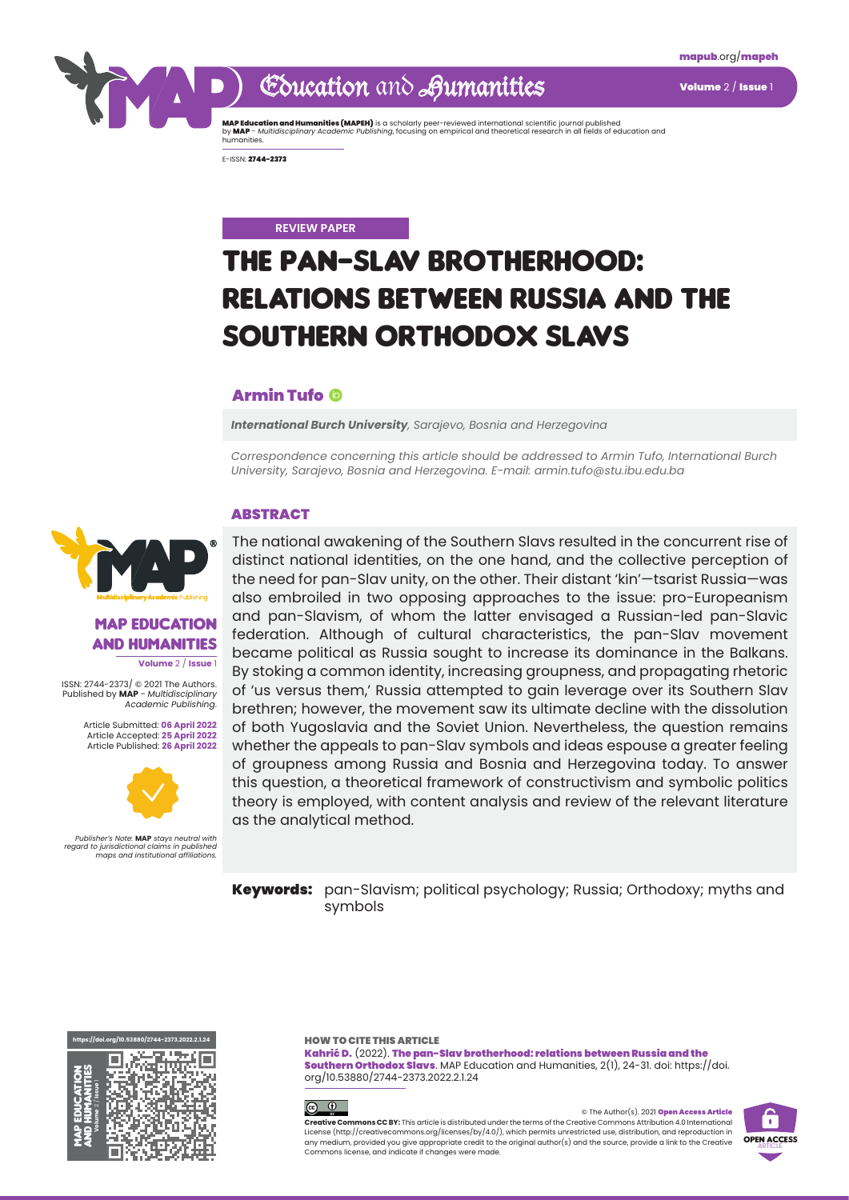## Education and Aumanities Volume 2/ Issue 1

**MAP Education and Humanities (MAPEH)** is a scholarly peer-reviewed international scientific journal published<br>by **MAP** - *Multidisciplinary Academic Publishing,* focusing on empirical and theoretical research in all field

E-ISSN: 2744-2373

#### **REVIEW PAPER**

# The pan-Slav brotherhood: relations between Russia and the Southern Orthodox Slavs

#### Armin Tufo

*International Burch University, Sarajevo, Bosnia and Herzegovina*

*Correspondence concerning this article should be addressed to Armin Tufo, International Burch University, Sarajevo, Bosnia and Herzegovina. E-mail: armin.tufo@stu.ibu.edu.ba* 

#### **ABSTRACT**

#### **MAP EDUCATION** and Humanities

**Volume** 2 / **Issue** 1

ISSN: 2744-2373/ © 2021 The Authors. Published by **MAP** - *Multidisciplinary Academic Publishing*.

> Article Submitted: **06 April 2022** Article Accepted: **25 April 2022** Article Published: **26 April 2022**



*Publisher's Note:* **MAP** *stays neutral with regard to jurisdictional claims in published maps and institutional affiliations.* The national awakening of the Southern Slavs resulted in the concurrent rise of distinct national identities, on the one hand, and the collective perception of the need for pan-Slav unity, on the other. Their distant 'kin'—tsarist Russia—was also embroiled in two opposing approaches to the issue: pro-Europeanism and pan-Slavism, of whom the latter envisaged a Russian-led pan-Slavic federation. Although of cultural characteristics, the pan-Slav movement became political as Russia sought to increase its dominance in the Balkans. By stoking a common identity, increasing groupness, and propagating rhetoric of 'us versus them,' Russia attempted to gain leverage over its Southern Slav brethren; however, the movement saw its ultimate decline with the dissolution of both Yugoslavia and the Soviet Union. Nevertheless, the question remains whether the appeals to pan-Slav symbols and ideas espouse a greater feeling of groupness among Russia and Bosnia and Herzegovina today. To answer this question, a theoretical framework of constructivism and symbolic politics theory is employed, with content analysis and review of the relevant literature as the analytical method.

Keywords: pan-Slavism; political psychology; Russia; Orthodoxy; myths and symbols

**[https://doi.org/10.53880/2744-2373.2022.2.1.](https://doi.org/10.53880/2744-2373.2022.2.1.24)24** <u>sa an nas </u> īф, ation and Humanities **Volume** 2 / **Issue** 1 MAP Educ

HOW TO CITE THIS ARTICLE

Kahrić D. (2022). The pan-Slav brotherhood: relations between Russia and the Southern Orthodox Slavs. MAP Education and Humanities, 2(1), 24-31. doi: https://doi. org/10.53880/2744-2373.2022.2.1.24



© The Author(s). 2021 Open Access Article **Creative Commons CC BY:** This article is distributed under the terms of the Creative Commons Attribution 4.0 International License (<http://creativecommons.org/licenses/by/4.0/>), which permits unrestricted use, distribution, and reproduction in any medium, provided you give appropriate credit to the original author(s) and the source, provide a link to the Creative Commons license, and indicate if changes were made.

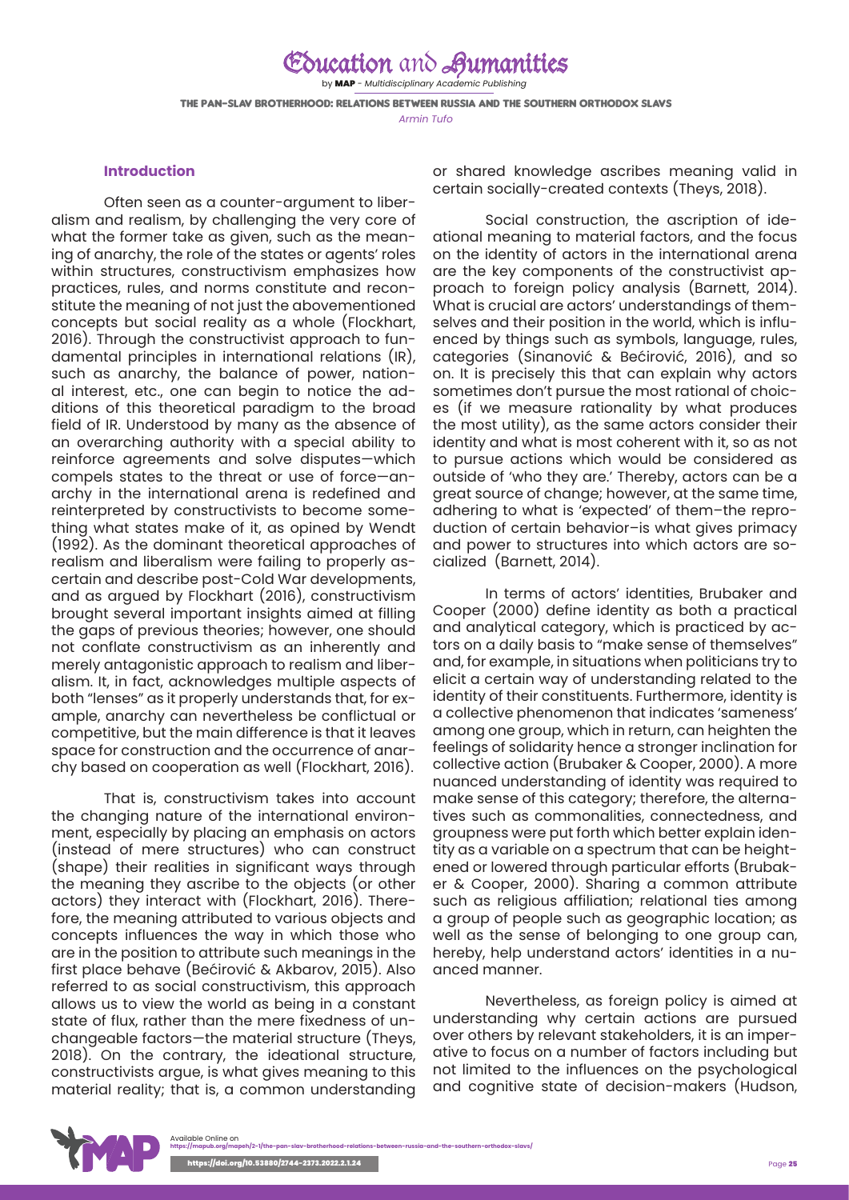### Education and Aumanities by MAP - *Multidisciplinary Academic Publishing* The pan-Slav brotherhood: relations between Russia and the Southern Orthodox Slavs *Armin Tufo*

#### **Introduction**

Often seen as a counter-argument to liberalism and realism, by challenging the very core of what the former take as given, such as the meaning of anarchy, the role of the states or agents' roles within structures, constructivism emphasizes how practices, rules, and norms constitute and reconstitute the meaning of not just the abovementioned concepts but social reality as a whole (Flockhart, 2016). Through the constructivist approach to fundamental principles in international relations (IR), such as anarchy, the balance of power, national interest, etc., one can begin to notice the additions of this theoretical paradigm to the broad field of IR. Understood by many as the absence of an overarching authority with a special ability to reinforce agreements and solve disputes—which compels states to the threat or use of force—anarchy in the international arena is redefined and reinterpreted by constructivists to become something what states make of it, as opined by Wendt (1992). As the dominant theoretical approaches of realism and liberalism were failing to properly ascertain and describe post-Cold War developments, and as argued by Flockhart (2016), constructivism brought several important insights aimed at filling the gaps of previous theories; however, one should not conflate constructivism as an inherently and merely antagonistic approach to realism and liberalism. It, in fact, acknowledges multiple aspects of both "lenses" as it properly understands that, for example, anarchy can nevertheless be conflictual or competitive, but the main difference is that it leaves space for construction and the occurrence of anarchy based on cooperation as well (Flockhart, 2016).

That is, constructivism takes into account the changing nature of the international environment, especially by placing an emphasis on actors (instead of mere structures) who can construct (shape) their realities in significant ways through the meaning they ascribe to the objects (or other actors) they interact with (Flockhart, 2016). Therefore, the meaning attributed to various objects and concepts influences the way in which those who are in the position to attribute such meanings in the first place behave (Bećirović & Akbarov, 2015). Also referred to as social constructivism, this approach allows us to view the world as being in a constant state of flux, rather than the mere fixedness of unchangeable factors—the material structure (Theys, 2018). On the contrary, the ideational structure, constructivists argue, is what gives meaning to this material reality; that is, a common understanding

or shared knowledge ascribes meaning valid in certain socially-created contexts (Theys, 2018).

Social construction, the ascription of ideational meaning to material factors, and the focus on the identity of actors in the international arena are the key components of the constructivist approach to foreign policy analysis (Barnett, 2014). What is crucial are actors' understandings of themselves and their position in the world, which is influenced by things such as symbols, language, rules, categories (Sinanović & Bećirović, 2016), and so on. It is precisely this that can explain why actors sometimes don't pursue the most rational of choices (if we measure rationality by what produces the most utility), as the same actors consider their identity and what is most coherent with it, so as not to pursue actions which would be considered as outside of 'who they are.' Thereby, actors can be a great source of change; however, at the same time, adhering to what is 'expected' of them–the reproduction of certain behavior–is what gives primacy and power to structures into which actors are socialized (Barnett, 2014).

In terms of actors' identities, Brubaker and Cooper (2000) define identity as both a practical and analytical category, which is practiced by actors on a daily basis to "make sense of themselves" and, for example, in situations when politicians try to elicit a certain way of understanding related to the identity of their constituents. Furthermore, identity is a collective phenomenon that indicates 'sameness' among one group, which in return, can heighten the feelings of solidarity hence a stronger inclination for collective action (Brubaker & Cooper, 2000). A more nuanced understanding of identity was required to make sense of this category; therefore, the alternatives such as commonalities, connectedness, and groupness were put forth which better explain identity as a variable on a spectrum that can be heightened or lowered through particular efforts (Brubaker & Cooper, 2000). Sharing a common attribute such as religious affiliation; relational ties among a group of people such as geographic location; as well as the sense of belonging to one group can, hereby, help understand actors' identities in a nuanced manner.

Nevertheless, as foreign policy is aimed at understanding why certain actions are pursued over others by relevant stakeholders, it is an imperative to focus on a number of factors including but not limited to the influences on the psychological and cognitive state of decision-makers (Hudson,

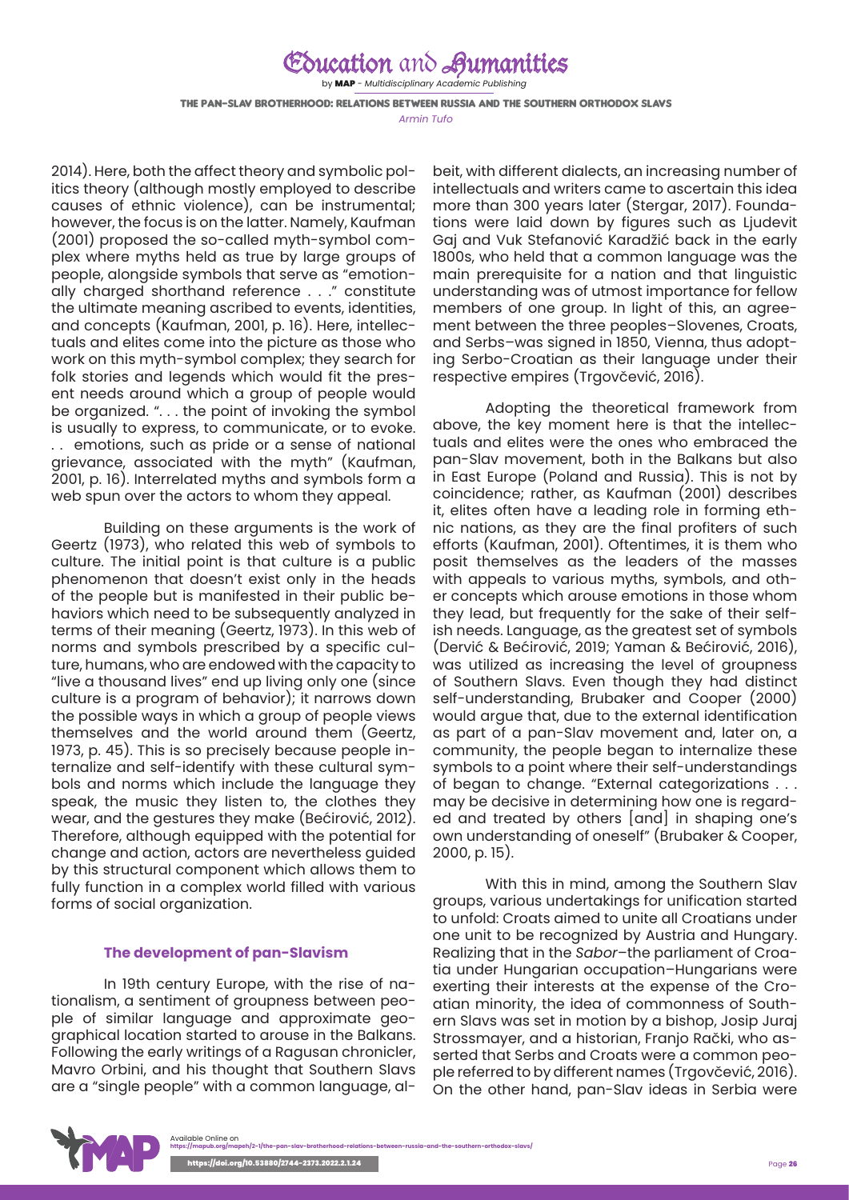by MAP - *Multidisciplinary Academic Publishing*

The pan-Slav brotherhood: relations between Russia and the Southern Orthodox Slavs

*Armin Tufo*

2014). Here, both the affect theory and symbolic politics theory (although mostly employed to describe causes of ethnic violence), can be instrumental; however, the focus is on the latter. Namely, Kaufman (2001) proposed the so-called myth-symbol complex where myths held as true by large groups of people, alongside symbols that serve as "emotionally charged shorthand reference . . ." constitute the ultimate meaning ascribed to events, identities, and concepts (Kaufman, 2001, p. 16). Here, intellectuals and elites come into the picture as those who work on this myth-symbol complex; they search for folk stories and legends which would fit the present needs around which a group of people would be organized. ". . . the point of invoking the symbol is usually to express, to communicate, or to evoke. . . emotions, such as pride or a sense of national grievance, associated with the myth" (Kaufman, 2001, p. 16). Interrelated myths and symbols form a web spun over the actors to whom they appeal.

Building on these arguments is the work of Geertz (1973), who related this web of symbols to culture. The initial point is that culture is a public phenomenon that doesn't exist only in the heads of the people but is manifested in their public behaviors which need to be subsequently analyzed in terms of their meaning (Geertz, 1973). In this web of norms and symbols prescribed by a specific culture, humans, who are endowed with the capacity to "live a thousand lives" end up living only one (since culture is a program of behavior); it narrows down the possible ways in which a group of people views themselves and the world around them (Geertz, 1973, p. 45). This is so precisely because people internalize and self-identify with these cultural symbols and norms which include the language they speak, the music they listen to, the clothes they wear, and the gestures they make (Bećirović, 2012). Therefore, although equipped with the potential for change and action, actors are nevertheless guided by this structural component which allows them to fully function in a complex world filled with various forms of social organization.

#### **The development of pan-Slavism**

In 19th century Europe, with the rise of nationalism, a sentiment of groupness between people of similar language and approximate geographical location started to arouse in the Balkans. Following the early writings of a Ragusan chronicler, Mavro Orbini, and his thought that Southern Slavs are a "single people" with a common language, albeit, with different dialects, an increasing number of intellectuals and writers came to ascertain this idea more than 300 years later (Stergar, 2017). Foundations were laid down by figures such as Ljudevit Gaj and Vuk Stefanović Karadžić back in the early 1800s, who held that a common language was the main prerequisite for a nation and that linguistic understanding was of utmost importance for fellow members of one group. In light of this, an agreement between the three peoples–Slovenes, Croats, and Serbs–was signed in 1850, Vienna, thus adopting Serbo-Croatian as their language under their respective empires (Trgovčević, 2016).

Adopting the theoretical framework from above, the key moment here is that the intellectuals and elites were the ones who embraced the pan-Slav movement, both in the Balkans but also in East Europe (Poland and Russia). This is not by coincidence; rather, as Kaufman (2001) describes it, elites often have a leading role in forming ethnic nations, as they are the final profiters of such efforts (Kaufman, 2001). Oftentimes, it is them who posit themselves as the leaders of the masses with appeals to various myths, symbols, and other concepts which arouse emotions in those whom they lead, but frequently for the sake of their selfish needs. Language, as the greatest set of symbols (Dervić & Bećirović, 2019; Yaman & Bećirović, 2016), was utilized as increasing the level of groupness of Southern Slavs. Even though they had distinct self-understanding, Brubaker and Cooper (2000) would argue that, due to the external identification as part of a pan-Slav movement and, later on, a community, the people began to internalize these symbols to a point where their self-understandings of began to change. "External categorizations . . . may be decisive in determining how one is regarded and treated by others [and] in shaping one's own understanding of oneself" (Brubaker & Cooper, 2000, p. 15).

With this in mind, among the Southern Slav groups, various undertakings for unification started to unfold: Croats aimed to unite all Croatians under one unit to be recognized by Austria and Hungary. Realizing that in the *Sabor*–the parliament of Croatia under Hungarian occupation–Hungarians were exerting their interests at the expense of the Croatian minority, the idea of commonness of Southern Slavs was set in motion by a bishop, Josip Juraj Strossmayer, and a historian, Franjo Rački, who asserted that Serbs and Croats were a common people referred to by different names (Trgovčević, 2016). On the other hand, pan-Slav ideas in Serbia were

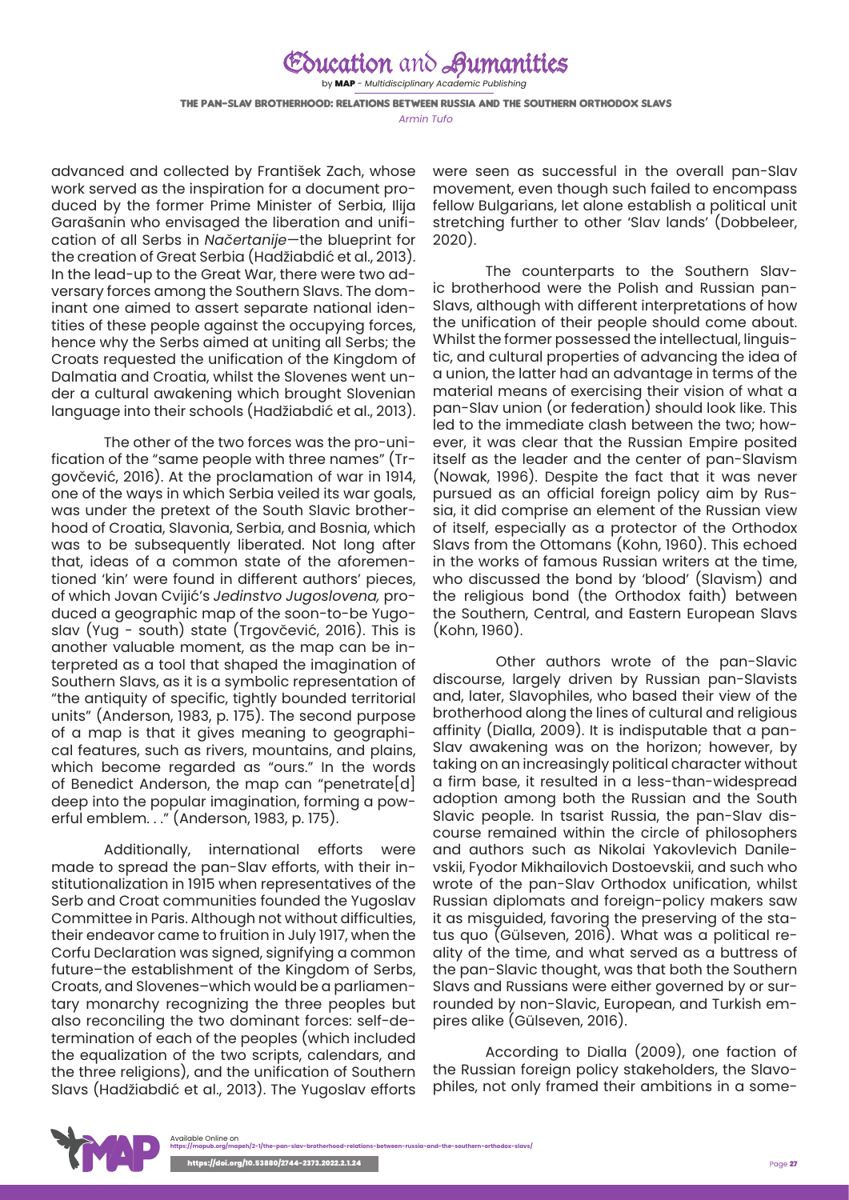by MAP - *Multidisciplinary Academic Publishing*

The pan-Slav brotherhood: relations between Russia and the Southern Orthodox Slavs *Armin Tufo*

advanced and collected by František Zach, whose work served as the inspiration for a document produced by the former Prime Minister of Serbia, Ilija Garašanin who envisaged the liberation and unification of all Serbs in *Načertanije*—the blueprint for the creation of Great Serbia (Hadžiabdić et al., 2013). In the lead-up to the Great War, there were two adversary forces among the Southern Slavs. The dominant one aimed to assert separate national identities of these people against the occupying forces, hence why the Serbs aimed at uniting all Serbs; the Croats requested the unification of the Kingdom of Dalmatia and Croatia, whilst the Slovenes went under a cultural awakening which brought Slovenian language into their schools (Hadžiabdić et al., 2013).

The other of the two forces was the pro-unification of the "same people with three names" (Trgovčević, 2016). At the proclamation of war in 1914, one of the ways in which Serbia veiled its war goals, was under the pretext of the South Slavic brotherhood of Croatia, Slavonia, Serbia, and Bosnia, which was to be subsequently liberated. Not long after that, ideas of a common state of the aforementioned 'kin' were found in different authors' pieces, of which Jovan Cvijić's *Jedinstvo Jugoslovena,* produced a geographic map of the soon-to-be Yugoslav (Yug - south) state (Trgovčević, 2016). This is another valuable moment, as the map can be interpreted as a tool that shaped the imagination of Southern Slavs, as it is a symbolic representation of "the antiquity of specific, tightly bounded territorial units" (Anderson, 1983, p. 175). The second purpose of a map is that it gives meaning to geographical features, such as rivers, mountains, and plains, which become regarded as "ours." In the words of Benedict Anderson, the map can "penetrate[d] deep into the popular imagination, forming a powerful emblem. . ." (Anderson, 1983, p. 175).

Additionally, international efforts were made to spread the pan-Slav efforts, with their institutionalization in 1915 when representatives of the Serb and Croat communities founded the Yugoslav Committee in Paris. Although not without difficulties, their endeavor came to fruition in July 1917, when the Corfu Declaration was signed, signifying a common future–the establishment of the Kingdom of Serbs, Croats, and Slovenes–which would be a parliamentary monarchy recognizing the three peoples but also reconciling the two dominant forces: self-determination of each of the peoples (which included the equalization of the two scripts, calendars, and the three religions), and the unification of Southern Slavs (Hadžiabdić et al., 2013). The Yugoslav efforts

were seen as successful in the overall pan-Slav movement, even though such failed to encompass fellow Bulgarians, let alone establish a political unit stretching further to other 'Slav lands' (Dobbeleer, 2020).

The counterparts to the Southern Slavic brotherhood were the Polish and Russian pan-Slavs, although with different interpretations of how the unification of their people should come about. Whilst the former possessed the intellectual, linguistic, and cultural properties of advancing the idea of a union, the latter had an advantage in terms of the material means of exercising their vision of what a pan-Slav union (or federation) should look like. This led to the immediate clash between the two; however, it was clear that the Russian Empire posited itself as the leader and the center of pan-Slavism (Nowak, 1996). Despite the fact that it was never pursued as an official foreign policy aim by Russia, it did comprise an element of the Russian view of itself, especially as a protector of the Orthodox Slavs from the Ottomans (Kohn, 1960). This echoed in the works of famous Russian writers at the time, who discussed the bond by 'blood' (Slavism) and the religious bond (the Orthodox faith) between the Southern, Central, and Eastern European Slavs (Kohn, 1960).

 Other authors wrote of the pan-Slavic discourse, largely driven by Russian pan-Slavists and, later, Slavophiles, who based their view of the brotherhood along the lines of cultural and religious affinity (Dialla, 2009). It is indisputable that a pan-Slav awakening was on the horizon; however, by taking on an increasingly political character without a firm base, it resulted in a less-than-widespread adoption among both the Russian and the South Slavic people. In tsarist Russia, the pan-Slav discourse remained within the circle of philosophers and authors such as Nikolai Yakovlevich Danilevskii, Fyodor Mikhailovich Dostoevskii, and such who wrote of the pan-Slav Orthodox unification, whilst Russian diplomats and foreign-policy makers saw it as misguided, favoring the preserving of the status quo (Gülseven, 2016). What was a political reality of the time, and what served as a buttress of the pan-Slavic thought, was that both the Southern Slavs and Russians were either governed by or surrounded by non-Slavic, European, and Turkish empires alike (Gülseven, 2016).

According to Dialla (2009), one faction of the Russian foreign policy stakeholders, the Slavophiles, not only framed their ambitions in a some-

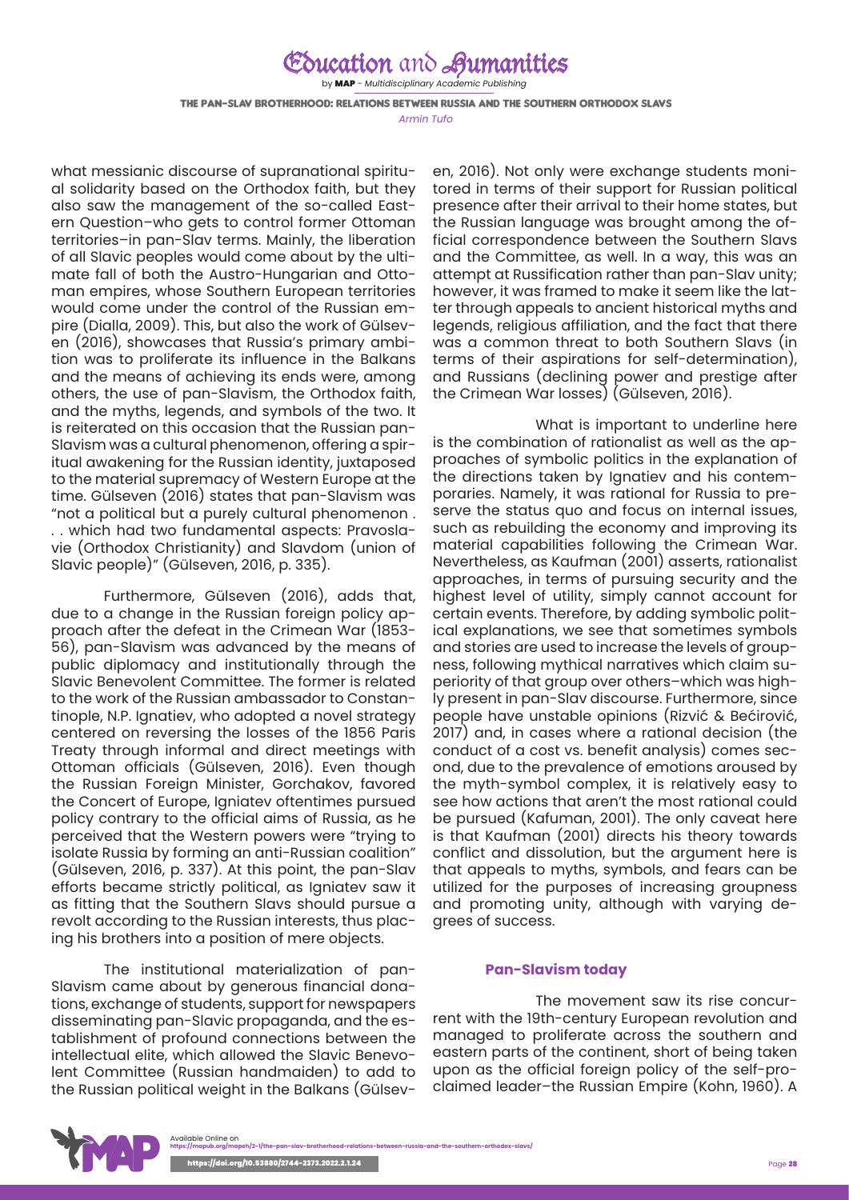by MAP - *Multidisciplinary Academic Publishing*

The pan-Slav brotherhood: relations between Russia and the Southern Orthodox Slavs

*Armin Tufo*

what messianic discourse of supranational spiritual solidarity based on the Orthodox faith, but they also saw the management of the so-called Eastern Question–who gets to control former Ottoman territories–in pan-Slav terms. Mainly, the liberation of all Slavic peoples would come about by the ultimate fall of both the Austro-Hungarian and Ottoman empires, whose Southern European territories would come under the control of the Russian empire (Dialla, 2009). This, but also the work of Gülseven (2016), showcases that Russia's primary ambition was to proliferate its influence in the Balkans and the means of achieving its ends were, among others, the use of pan-Slavism, the Orthodox faith, and the myths, legends, and symbols of the two. It is reiterated on this occasion that the Russian pan-Slavism was a cultural phenomenon, offering a spiritual awakening for the Russian identity, juxtaposed to the material supremacy of Western Europe at the time. Gülseven (2016) states that pan-Slavism was "not a political but a purely cultural phenomenon . . . which had two fundamental aspects: Pravoslavie (Orthodox Christianity) and Slavdom (union of Slavic people)" (Gülseven, 2016, p. 335).

Furthermore, Gülseven (2016), adds that, due to a change in the Russian foreign policy approach after the defeat in the Crimean War (1853- 56), pan-Slavism was advanced by the means of public diplomacy and institutionally through the Slavic Benevolent Committee. The former is related to the work of the Russian ambassador to Constantinople, N.P. Ignatiev, who adopted a novel strategy centered on reversing the losses of the 1856 Paris Treaty through informal and direct meetings with Ottoman officials (Gülseven, 2016). Even though the Russian Foreign Minister, Gorchakov, favored the Concert of Europe, Igniatev oftentimes pursued policy contrary to the official aims of Russia, as he perceived that the Western powers were "trying to isolate Russia by forming an anti-Russian coalition" (Gülseven, 2016, p. 337). At this point, the pan-Slav efforts became strictly political, as Igniatev saw it as fitting that the Southern Slavs should pursue a revolt according to the Russian interests, thus placing his brothers into a position of mere objects.

The institutional materialization of pan-Slavism came about by generous financial donations, exchange of students, support for newspapers disseminating pan-Slavic propaganda, and the establishment of profound connections between the intellectual elite, which allowed the Slavic Benevolent Committee (Russian handmaiden) to add to the Russian political weight in the Balkans (Gülseven, 2016). Not only were exchange students monitored in terms of their support for Russian political presence after their arrival to their home states, but the Russian language was brought among the official correspondence between the Southern Slavs and the Committee, as well. In a way, this was an attempt at Russification rather than pan-Slav unity; however, it was framed to make it seem like the latter through appeals to ancient historical myths and legends, religious affiliation, and the fact that there was a common threat to both Southern Slavs (in terms of their aspirations for self-determination), and Russians (declining power and prestige after the Crimean War losses) (Gülseven, 2016).

What is important to underline here is the combination of rationalist as well as the approaches of symbolic politics in the explanation of the directions taken by Ignatiev and his contemporaries. Namely, it was rational for Russia to preserve the status quo and focus on internal issues, such as rebuilding the economy and improving its material capabilities following the Crimean War. Nevertheless, as Kaufman (2001) asserts, rationalist approaches, in terms of pursuing security and the highest level of utility, simply cannot account for certain events. Therefore, by adding symbolic political explanations, we see that sometimes symbols and stories are used to increase the levels of groupness, following mythical narratives which claim superiority of that group over others–which was highly present in pan-Slav discourse. Furthermore, since people have unstable opinions (Rizvić & Bećirović, 2017) and, in cases where a rational decision (the conduct of a cost vs. benefit analysis) comes second, due to the prevalence of emotions aroused by the myth-symbol complex, it is relatively easy to see how actions that aren't the most rational could be pursued (Kafuman, 2001). The only caveat here is that Kaufman (2001) directs his theory towards conflict and dissolution, but the argument here is that appeals to myths, symbols, and fears can be utilized for the purposes of increasing groupness and promoting unity, although with varying degrees of success.

#### **Pan-Slavism today**

The movement saw its rise concurrent with the 19th-century European revolution and managed to proliferate across the southern and eastern parts of the continent, short of being taken upon as the official foreign policy of the self-proclaimed leader–the Russian Empire (Kohn, 1960). A

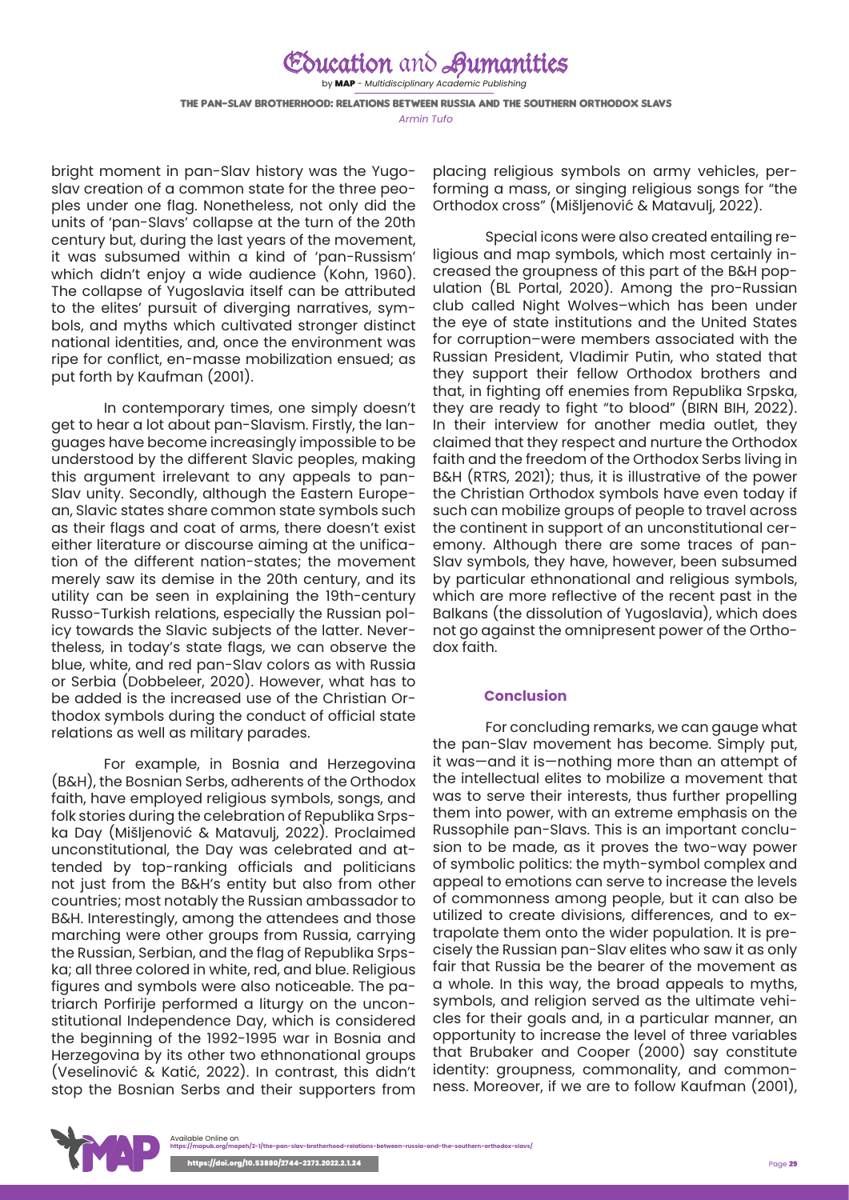by MAP - *Multidisciplinary Academic Publishing*

The pan-Slav brotherhood: relations between Russia and the Southern Orthodox Slavs *Armin Tufo*

bright moment in pan-Slav history was the Yugoslav creation of a common state for the three peoples under one flag. Nonetheless, not only did the units of 'pan-Slavs' collapse at the turn of the 20th century but, during the last years of the movement, it was subsumed within a kind of 'pan-Russism' which didn't enjoy a wide audience (Kohn, 1960). The collapse of Yugoslavia itself can be attributed to the elites' pursuit of diverging narratives, symbols, and myths which cultivated stronger distinct national identities, and, once the environment was ripe for conflict, en-masse mobilization ensued; as put forth by Kaufman (2001).

In contemporary times, one simply doesn't get to hear a lot about pan-Slavism. Firstly, the languages have become increasingly impossible to be understood by the different Slavic peoples, making this argument irrelevant to any appeals to pan-Slav unity. Secondly, although the Eastern European, Slavic states share common state symbols such as their flags and coat of arms, there doesn't exist either literature or discourse aiming at the unification of the different nation-states; the movement merely saw its demise in the 20th century, and its utility can be seen in explaining the 19th-century Russo-Turkish relations, especially the Russian policy towards the Slavic subjects of the latter. Nevertheless, in today's state flags, we can observe the blue, white, and red pan-Slav colors as with Russia or Serbia (Dobbeleer, 2020). However, what has to be added is the increased use of the Christian Orthodox symbols during the conduct of official state relations as well as military parades.

For example, in Bosnia and Herzegovina (B&H), the Bosnian Serbs, adherents of the Orthodox faith, have employed religious symbols, songs, and folk stories during the celebration of Republika Srpska Day (Mišljenović & Matavulj, 2022). Proclaimed unconstitutional, the Day was celebrated and attended by top-ranking officials and politicians not just from the B&H's entity but also from other countries; most notably the Russian ambassador to B&H. Interestingly, among the attendees and those marching were other groups from Russia, carrying the Russian, Serbian, and the flag of Republika Srpska; all three colored in white, red, and blue. Religious figures and symbols were also noticeable. The patriarch Porfirije performed a liturgy on the unconstitutional Independence Day, which is considered the beginning of the 1992-1995 war in Bosnia and Herzegovina by its other two ethnonational groups (Veselinović & Katić, 2022). In contrast, this didn't stop the Bosnian Serbs and their supporters from

placing religious symbols on army vehicles, performing a mass, or singing religious songs for "the Orthodox cross" (Mišljenović & Matavulj, 2022).

Special icons were also created entailing religious and map symbols, which most certainly increased the groupness of this part of the B&H population (BL Portal, 2020). Among the pro-Russian club called Night Wolves–which has been under the eye of state institutions and the United States for corruption–were members associated with the Russian President, Vladimir Putin, who stated that they support their fellow Orthodox brothers and that, in fighting off enemies from Republika Srpska, they are ready to fight "to blood" (BIRN BIH, 2022). In their interview for another media outlet, they claimed that they respect and nurture the Orthodox faith and the freedom of the Orthodox Serbs living in B&H (RTRS, 2021); thus, it is illustrative of the power the Christian Orthodox symbols have even today if such can mobilize groups of people to travel across the continent in support of an unconstitutional ceremony. Although there are some traces of pan-Slav symbols, they have, however, been subsumed by particular ethnonational and religious symbols, which are more reflective of the recent past in the Balkans (the dissolution of Yugoslavia), which does not go against the omnipresent power of the Orthodox faith.

#### **Conclusion**

For concluding remarks, we can gauge what the pan-Slav movement has become. Simply put, it was—and it is—nothing more than an attempt of the intellectual elites to mobilize a movement that was to serve their interests, thus further propelling them into power, with an extreme emphasis on the Russophile pan-Slavs. This is an important conclusion to be made, as it proves the two-way power of symbolic politics: the myth-symbol complex and appeal to emotions can serve to increase the levels of commonness among people, but it can also be utilized to create divisions, differences, and to extrapolate them onto the wider population. It is precisely the Russian pan-Slav elites who saw it as only fair that Russia be the bearer of the movement as a whole. In this way, the broad appeals to myths, symbols, and religion served as the ultimate vehicles for their goals and, in a particular manner, an opportunity to increase the level of three variables that Brubaker and Cooper (2000) say constitute identity: groupness, commonality, and commonness. Moreover, if we are to follow Kaufman (2001),

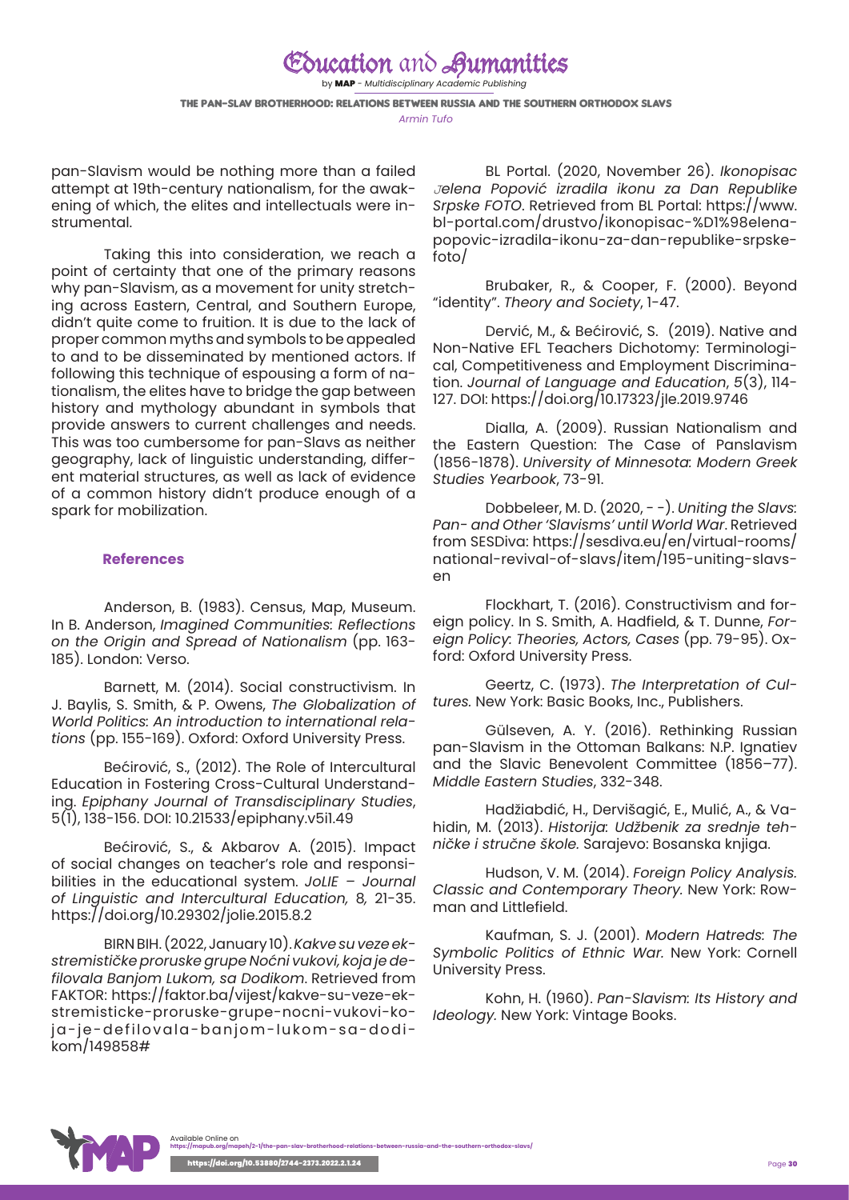by MAP - *Multidisciplinary Academic Publishing*

The pan-Slav brotherhood: relations between Russia and the Southern Orthodox Slavs *Armin Tufo*

pan-Slavism would be nothing more than a failed attempt at 19th-century nationalism, for the awakening of which, the elites and intellectuals were instrumental.

Taking this into consideration, we reach a point of certainty that one of the primary reasons why pan-Slavism, as a movement for unity stretching across Eastern, Central, and Southern Europe, didn't quite come to fruition. It is due to the lack of proper common myths and symbols to be appealed to and to be disseminated by mentioned actors. If following this technique of espousing a form of nationalism, the elites have to bridge the gap between history and mythology abundant in symbols that provide answers to current challenges and needs. This was too cumbersome for pan-Slavs as neither geography, lack of linguistic understanding, different material structures, as well as lack of evidence of a common history didn't produce enough of a spark for mobilization.

#### **References**

Anderson, B. (1983). Census, Map, Museum. In B. Anderson, *Imagined Communities: Reflections on the Origin and Spread of Nationalism* (pp. 163- 185). London: Verso.

Barnett, M. (2014). Social constructivism. In J. Baylis, S. Smith, & P. Owens, *The Globalization of World Politics: An introduction to international relations* (pp. 155-169). Oxford: Oxford University Press.

Bećirović, S., (2012). The Role of Intercultural Education in Fostering Cross-Cultural Understanding. *Epiphany Journal of Transdisciplinary Studies*, 5(1), 138-156. DOI: [10.21533/epiphany.v5i1.49](http://dx.doi.org/10.21533/epiphany.v5i1.49)

Bećirović, S., & Akbarov A. (2015). Impact of social changes on teacher's role and responsibilities in the educational system. *JoLIE – Journal of Linguistic and Intercultural Education,* 8*,* 21-35. <https://doi.org/10.29302/jolie.2015.8.2>

BIRN BIH. (2022, January 10). *Kakve su veze ekstremističke proruske grupe Noćni vukovi, koja je defilovala Banjom Lukom, sa Dodikom*. Retrieved from FAKTOR: https://faktor.ba/vijest/kakve-su-veze-ekstremisticke-proruske-grupe-nocni-vukovi-koja-je-defilovala-banjom-lukom-sa-dodikom/149858#

BL Portal. (2020, November 26). *Ikonopisac Јelena Popović izradila ikonu za Dan Republike Srpske FOTO*. Retrieved from BL Portal: https://www. bl-portal.com/drustvo/ikonopisac-%D1%98elenapopovic-izradila-ikonu-za-dan-republike-srpskefoto/

Brubaker, R., & Cooper, F. (2000). Beyond "identity". *Theory and Society*, 1-47.

Dervić, M., & Bećirović, S. (2019). Native and Non-Native EFL Teachers Dichotomy: Terminological, Competitiveness and Employment Discrimination. *Journal of Language and Education*, *5*(3), 114- 127. DOI: <https://doi.org/10.17323/jle.2019.9746>

Dialla, A. (2009). Russian Nationalism and the Eastern Question: The Case of Panslavism (1856-1878). *University of Minnesota: Modern Greek Studies Yearbook*, 73-91.

Dobbeleer, M. D. (2020, - -). *Uniting the Slavs: Pan- and Other 'Slavisms' until World War*. Retrieved from SESDiva: https://sesdiva.eu/en/virtual-rooms/ national-revival-of-slavs/item/195-uniting-slavsen

Flockhart, T. (2016). Constructivism and foreign policy. In S. Smith, A. Hadfield, & T. Dunne, *Foreign Policy: Theories, Actors, Cases* (pp. 79-95). Oxford: Oxford University Press.

Geertz, C. (1973). *The Interpretation of Cultures.* New York: Basic Books, Inc., Publishers.

Gülseven, A. Y. (2016). Rethinking Russian pan-Slavism in the Ottoman Balkans: N.P. Ignatiev and the Slavic Benevolent Committee (1856–77). *Middle Eastern Studies*, 332-348.

Hadžiabdić, H., Dervišagić, E., Mulić, A., & Vahidin, M. (2013). *Historija: Udžbenik za srednje tehničke i stručne škole.* Sarajevo: Bosanska knjiga.

Hudson, V. M. (2014). *Foreign Policy Analysis. Classic and Contemporary Theory.* New York: Rowman and Littlefield.

Kaufman, S. J. (2001). *Modern Hatreds: The Symbolic Politics of Ethnic War.* New York: Cornell University Press.

Kohn, H. (1960). *Pan-Slavism: Its History and Ideology.* New York: Vintage Books.